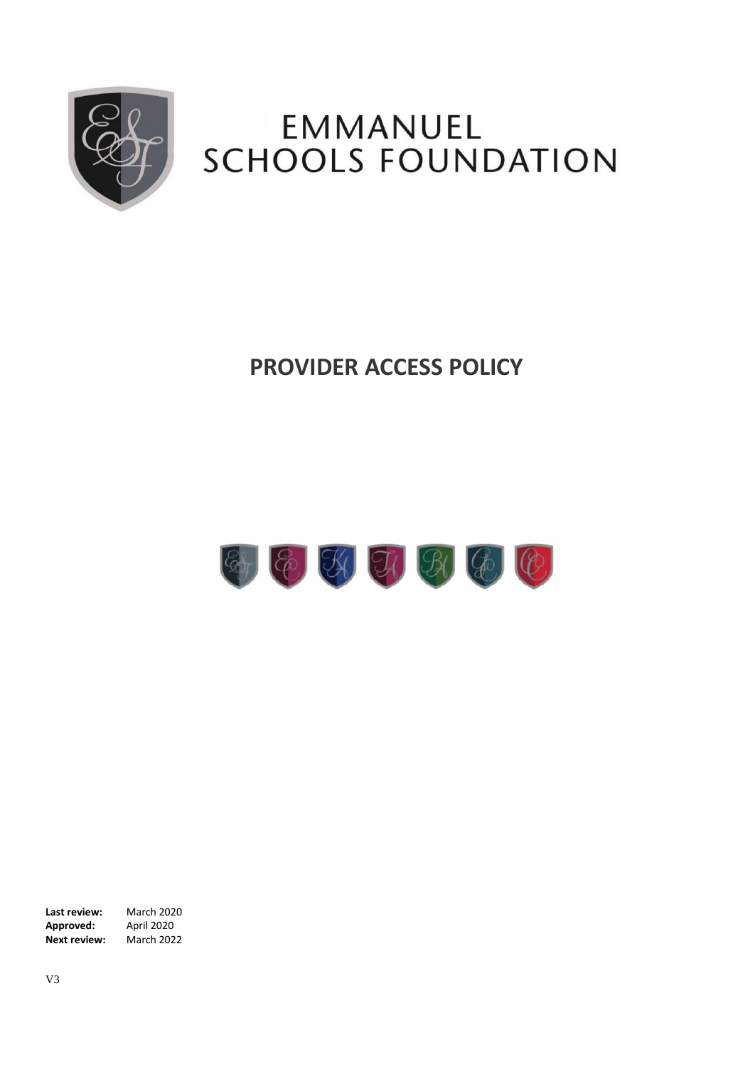

# **EMMANUEL** SCHOOLS FOUNDATION

# **PROVIDER ACCESS POLICY**



**Last review:** March 2020<br>**Approved:** April 2020 **Approved: Next review:** March 2022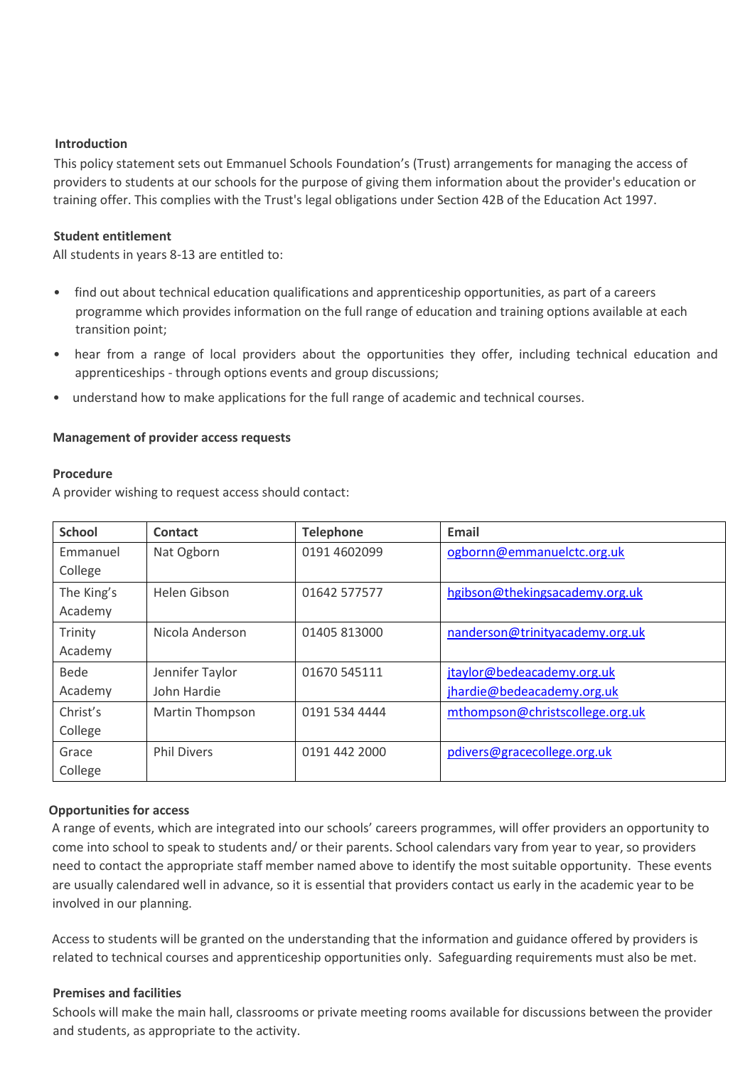## **Introduction**

This policy statement sets out Emmanuel Schools Foundation's (Trust) arrangements for managing the access of providers to students at our schools for the purpose of giving them information about the provider's education or training offer. This complies with the Trust's legal obligations under Section 42B of the Education Act 1997.

#### **Student entitlement**

All students in years 8-13 are entitled to:

- find out about technical education qualifications and apprenticeship opportunities, as part of a careers programme which provides information on the full range of education and training options available at each transition point;
- hear from a range of local providers about the opportunities they offer, including technical education and apprenticeships - through options events and group discussions;
- understand how to make applications for the full range of academic and technical courses.

#### **Management of provider access requests**

#### **Procedure**

A provider wishing to request access should contact:

| <b>School</b> | Contact                | <b>Telephone</b> | Email                           |
|---------------|------------------------|------------------|---------------------------------|
| Emmanuel      | Nat Ogborn             | 0191 4602099     | ogbornn@emmanuelctc.org.uk      |
| College       |                        |                  |                                 |
| The King's    | Helen Gibson           | 01642 577577     | hgibson@thekingsacademy.org.uk  |
| Academy       |                        |                  |                                 |
| Trinity       | Nicola Anderson        | 01405 813000     | nanderson@trinityacademy.org.uk |
| Academy       |                        |                  |                                 |
| Bede          | Jennifer Taylor        | 01670 545111     | jtaylor@bedeacademy.org.uk      |
| Academy       | John Hardie            |                  | jhardie@bedeacademy.org.uk      |
| Christ's      | <b>Martin Thompson</b> | 0191 534 4444    | mthompson@christscollege.org.uk |
| College       |                        |                  |                                 |
| Grace         | <b>Phil Divers</b>     | 0191 442 2000    | pdivers@gracecollege.org.uk     |
| College       |                        |                  |                                 |

## **Opportunities for access**

A range of events, which are integrated into our schools' careers programmes, will offer providers an opportunity to come into school to speak to students and/ or their parents. School calendars vary from year to year, so providers need to contact the appropriate staff member named above to identify the most suitable opportunity. These events are usually calendared well in advance, so it is essential that providers contact us early in the academic year to be involved in our planning.

Access to students will be granted on the understanding that the information and guidance offered by providers is related to technical courses and apprenticeship opportunities only. Safeguarding requirements must also be met.

#### **Premises and facilities**

Schools will make the main hall, classrooms or private meeting rooms available for discussions between the provider and students, as appropriate to the activity.